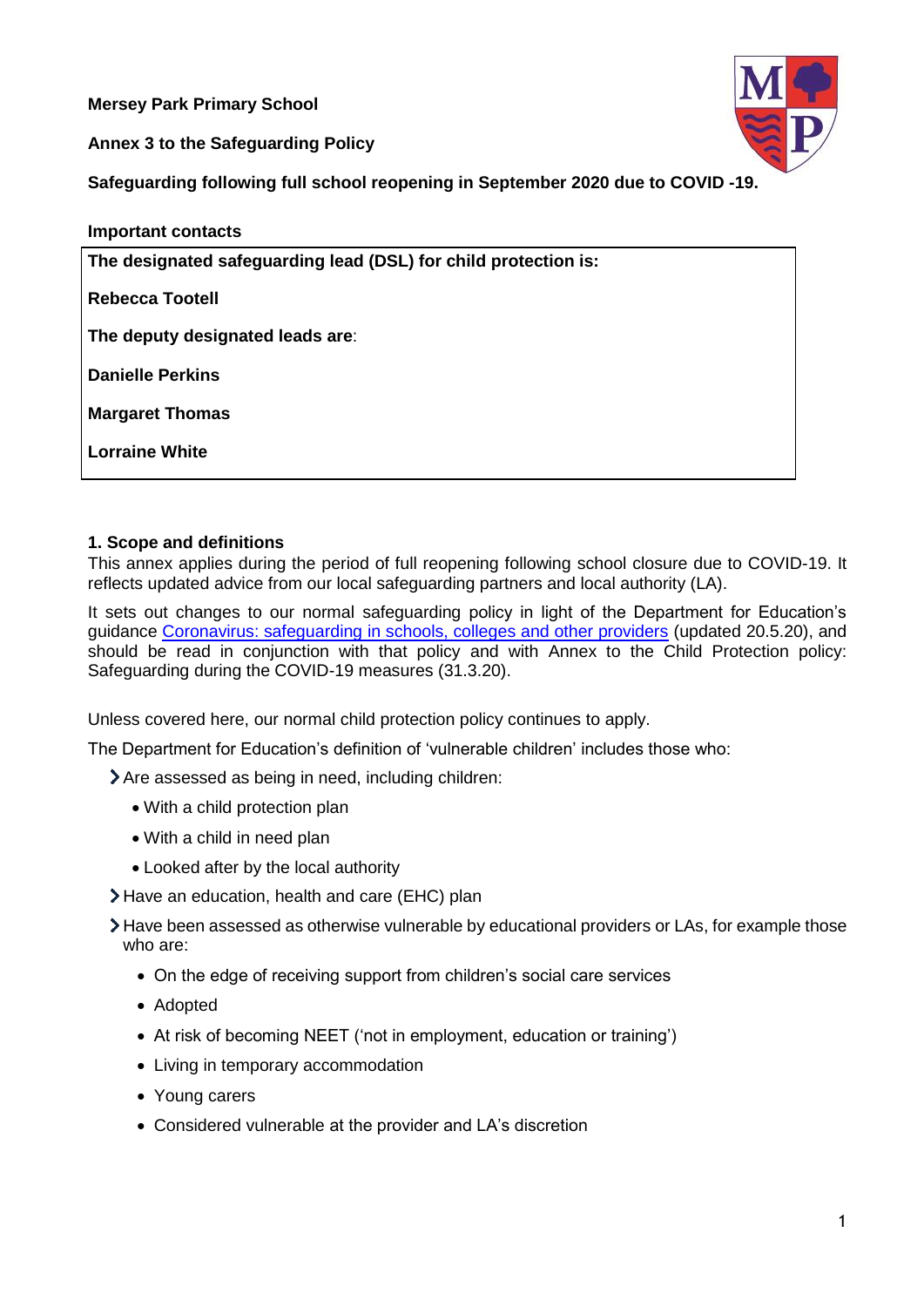**Mersey Park Primary School**

**Annex 3 to the Safeguarding Policy**



**Safeguarding following full school reopening in September 2020 due to COVID -19.**

**Important contacts**

**The designated safeguarding lead (DSL) for child protection is:**

**Rebecca Tootell**

**The deputy designated leads are**:

**Danielle Perkins** 

**Margaret Thomas** 

**Lorraine White**

## **1. Scope and definitions**

This annex applies during the period of full reopening following school closure due to COVID-19. It reflects updated advice from our local safeguarding partners and local authority (LA).

It sets out changes to our normal safeguarding policy in light of the Department for Education's guidance [Coronavirus: safeguarding in schools, colleges and other providers](https://www.gov.uk/government/publications/covid-19-safeguarding-in-schools-colleges-and-other-providers) (updated 20.5.20), and should be read in conjunction with that policy and with Annex to the Child Protection policy: Safeguarding during the COVID-19 measures (31.3.20).

Unless covered here, our normal child protection policy continues to apply.

The Department for Education's definition of 'vulnerable children' includes those who:

> Are assessed as being in need, including children:

- With a child protection plan
- With a child in need plan
- Looked after by the local authority
- Have an education, health and care (EHC) plan
- Have been assessed as otherwise vulnerable by educational providers or LAs, for example those who are:
	- On the edge of receiving support from children's social care services
	- Adopted
	- At risk of becoming NEET ('not in employment, education or training')
	- Living in temporary accommodation
	- Young carers
	- Considered vulnerable at the provider and LA's discretion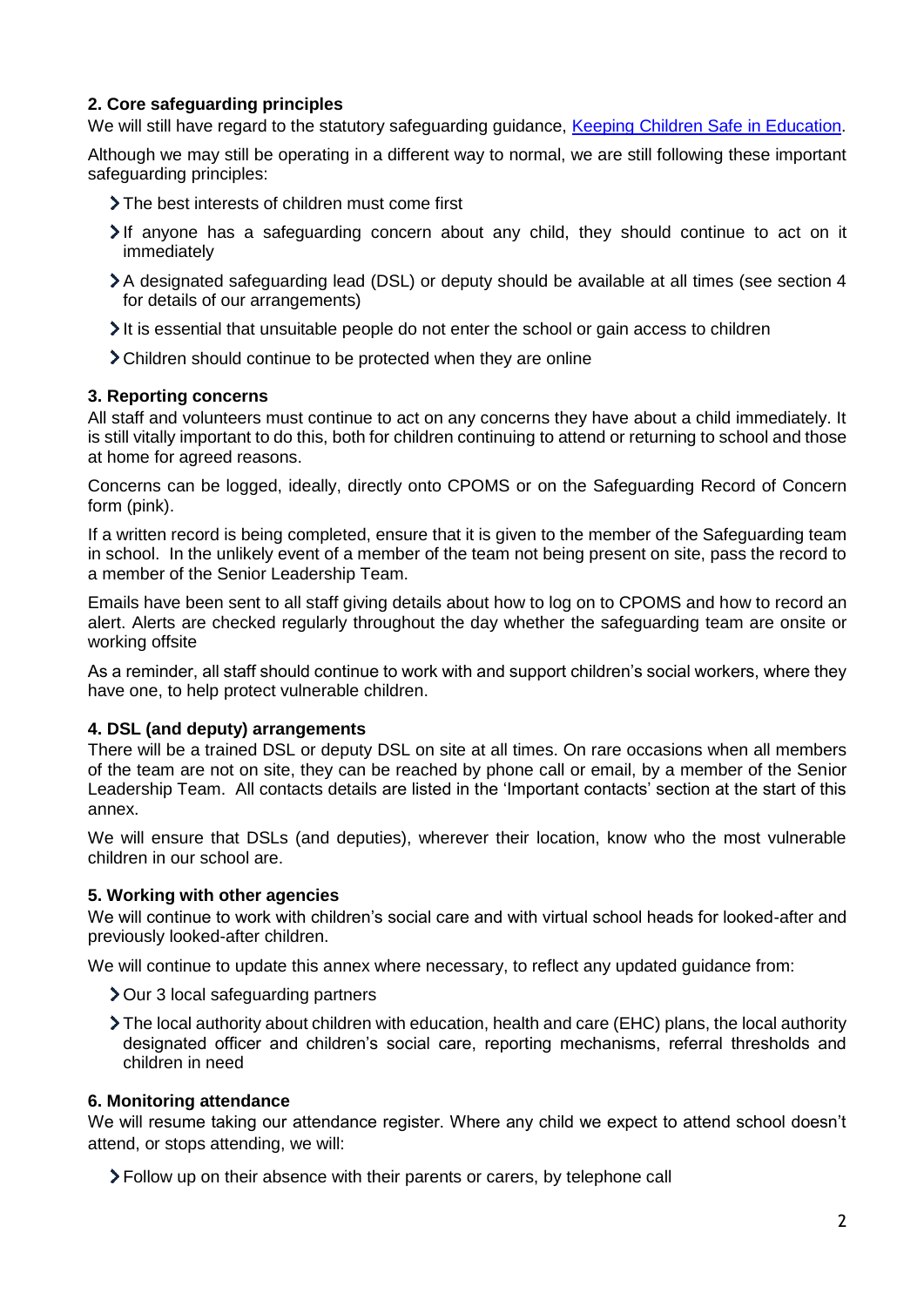# **2. Core safeguarding principles**

We will still have regard to the statutory safeguarding guidance, [Keeping Children Safe](https://www.gov.uk/government/publications/keeping-children-safe-in-education--2) in Education.

Although we may still be operating in a different way to normal, we are still following these important safeguarding principles:

- The best interests of children must come first
- If anyone has a safeguarding concern about any child, they should continue to act on it immediately
- A designated safeguarding lead (DSL) or deputy should be available at all times (see section 4 for details of our arrangements)
- It is essential that unsuitable people do not enter the school or gain access to children
- Children should continue to be protected when they are online

### **3. Reporting concerns**

All staff and volunteers must continue to act on any concerns they have about a child immediately. It is still vitally important to do this, both for children continuing to attend or returning to school and those at home for agreed reasons.

Concerns can be logged, ideally, directly onto CPOMS or on the Safeguarding Record of Concern form (pink).

If a written record is being completed, ensure that it is given to the member of the Safeguarding team in school. In the unlikely event of a member of the team not being present on site, pass the record to a member of the Senior Leadership Team.

Emails have been sent to all staff giving details about how to log on to CPOMS and how to record an alert. Alerts are checked regularly throughout the day whether the safeguarding team are onsite or working offsite

As a reminder, all staff should continue to work with and support children's social workers, where they have one, to help protect vulnerable children.

### **4. DSL (and deputy) arrangements**

There will be a trained DSL or deputy DSL on site at all times. On rare occasions when all members of the team are not on site, they can be reached by phone call or email, by a member of the Senior Leadership Team. All contacts details are listed in the 'Important contacts' section at the start of this annex.

We will ensure that DSLs (and deputies), wherever their location, know who the most vulnerable children in our school are.

#### **5. Working with other agencies**

We will continue to work with children's social care and with virtual school heads for looked-after and previously looked-after children.

We will continue to update this annex where necessary, to reflect any updated guidance from:

- **>** Our 3 local safeguarding partners
- The local authority about children with education, health and care (EHC) plans, the local authority designated officer and children's social care, reporting mechanisms, referral thresholds and children in need

#### **6. Monitoring attendance**

We will resume taking our attendance register. Where any child we expect to attend school doesn't attend, or stops attending, we will:

Follow up on their absence with their parents or carers, by telephone call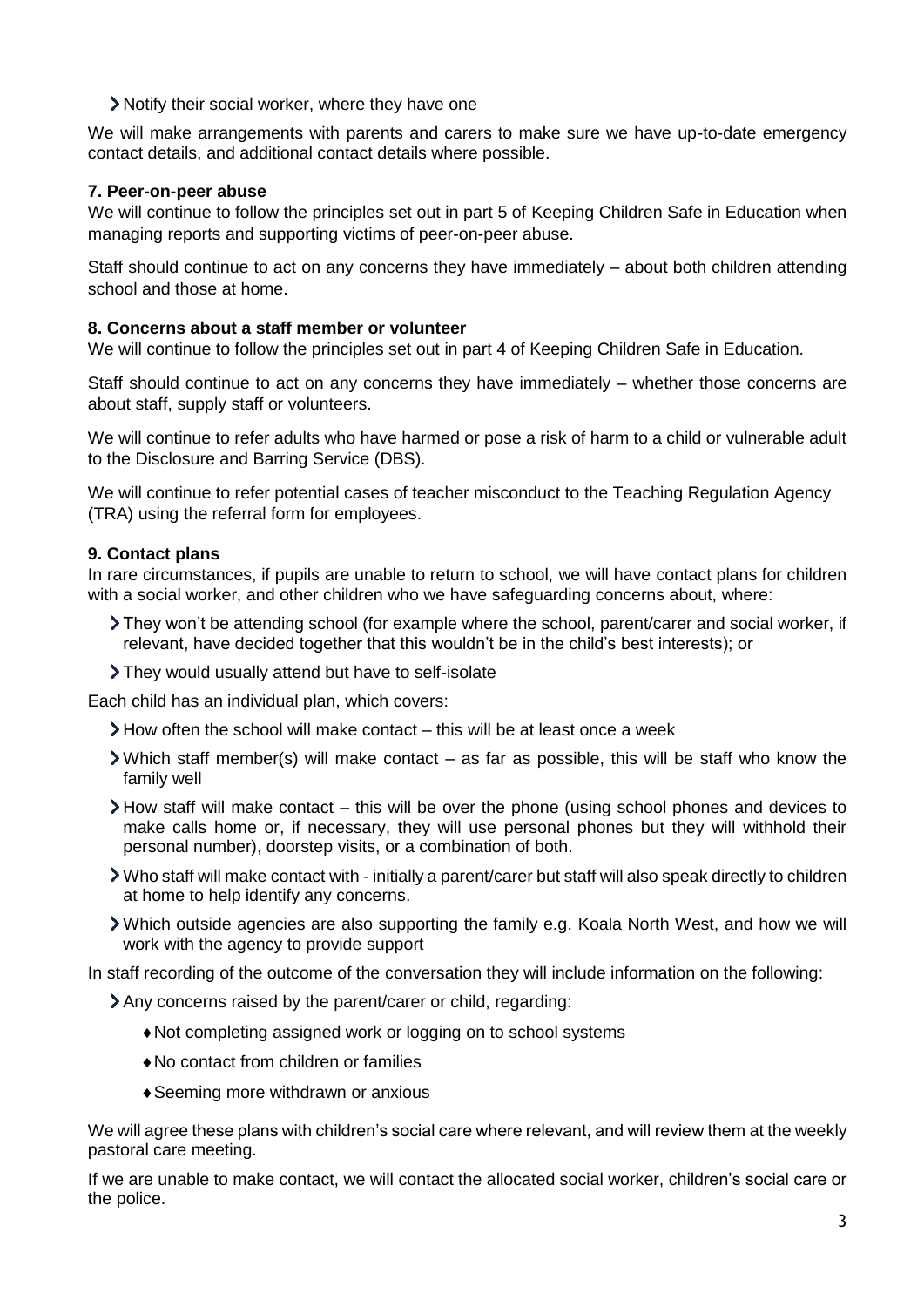Notify their social worker, where they have one

We will make arrangements with parents and carers to make sure we have up-to-date emergency contact details, and additional contact details where possible.

# **7. Peer-on-peer abuse**

We will continue to follow the principles set out in part 5 of Keeping Children Safe in Education when managing reports and supporting victims of peer-on-peer abuse.

Staff should continue to act on any concerns they have immediately – about both children attending school and those at home.

## **8. Concerns about a staff member or volunteer**

We will continue to follow the principles set out in part 4 of Keeping Children Safe in Education.

Staff should continue to act on any concerns they have immediately – whether those concerns are about staff, supply staff or volunteers.

We will continue to refer adults who have harmed or pose a risk of harm to a child or vulnerable adult to the Disclosure and Barring Service (DBS).

We will continue to refer potential cases of teacher misconduct to the Teaching Regulation Agency (TRA) using the referral form for employees.

## **9. Contact plans**

In rare circumstances, if pupils are unable to return to school, we will have contact plans for children with a social worker, and other children who we have safeguarding concerns about, where:

- They won't be attending school (for example where the school, parent/carer and social worker, if relevant, have decided together that this wouldn't be in the child's best interests); or
- They would usually attend but have to self-isolate

Each child has an individual plan, which covers:

- $\geq$  How often the school will make contact this will be at least once a week
- $\geq$  Which staff member(s) will make contact as far as possible, this will be staff who know the family well
- $\blacktriangleright$  How staff will make contact this will be over the phone (using school phones and devices to make calls home or, if necessary, they will use personal phones but they will withhold their personal number), doorstep visits, or a combination of both.
- Who staff will make contact with initially a parent/carer but staff will also speak directly to children at home to help identify any concerns.
- Which outside agencies are also supporting the family e.g. Koala North West, and how we will work with the agency to provide support

In staff recording of the outcome of the conversation they will include information on the following:

- Any concerns raised by the parent/carer or child, regarding:
	- Not completing assigned work or logging on to school systems
	- No contact from children or families
	- Seeming more withdrawn or anxious

We will agree these plans with children's social care where relevant, and will review them at the weekly pastoral care meeting.

If we are unable to make contact, we will contact the allocated social worker, children's social care or the police.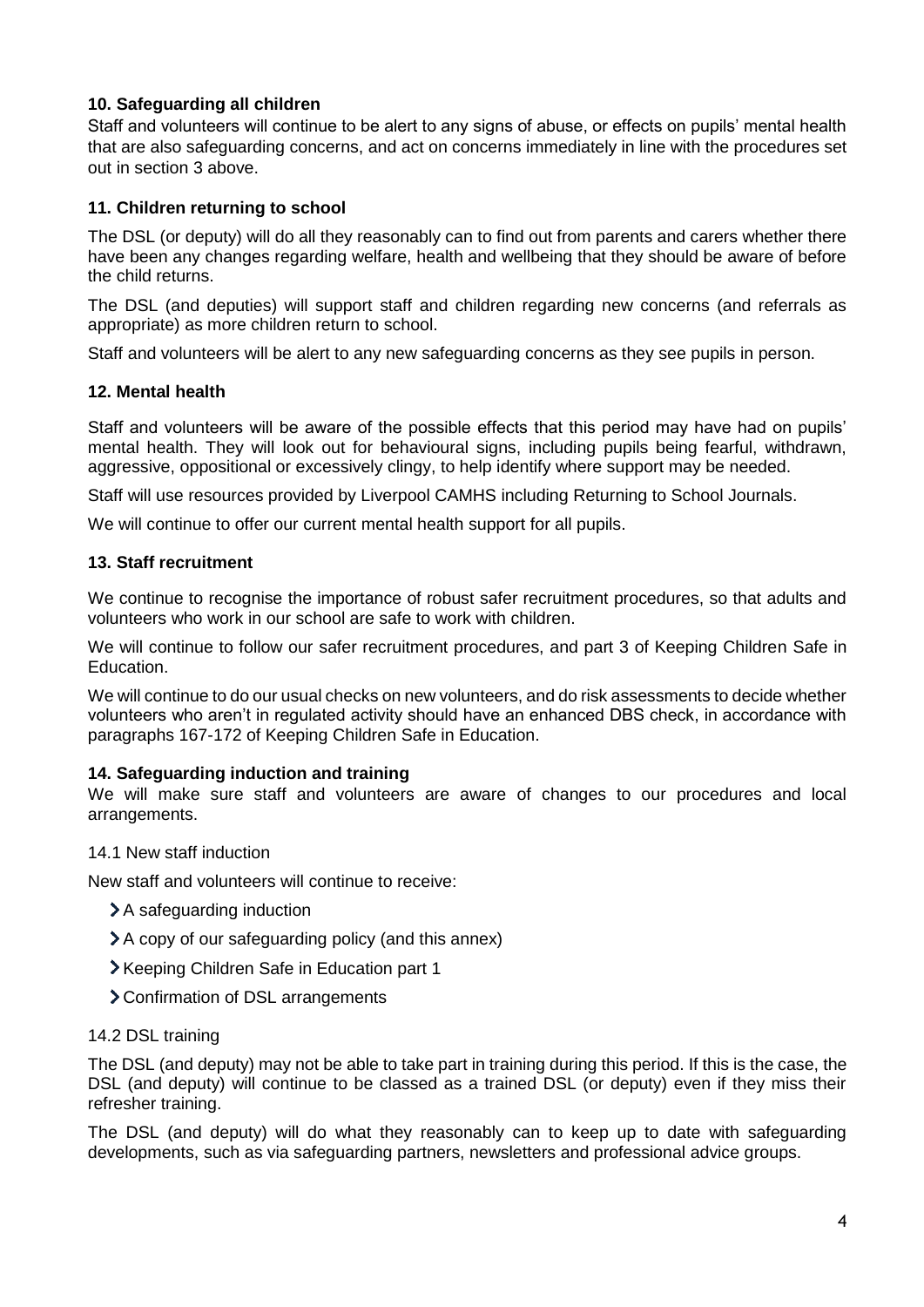# **10. Safeguarding all children**

Staff and volunteers will continue to be alert to any signs of abuse, or effects on pupils' mental health that are also safeguarding concerns, and act on concerns immediately in line with the procedures set out in section 3 above.

## **11. Children returning to school**

The DSL (or deputy) will do all they reasonably can to find out from parents and carers whether there have been any changes regarding welfare, health and wellbeing that they should be aware of before the child returns.

The DSL (and deputies) will support staff and children regarding new concerns (and referrals as appropriate) as more children return to school.

Staff and volunteers will be alert to any new safeguarding concerns as they see pupils in person.

#### **12. Mental health**

Staff and volunteers will be aware of the possible effects that this period may have had on pupils' mental health. They will look out for behavioural signs, including pupils being fearful, withdrawn, aggressive, oppositional or excessively clingy, to help identify where support may be needed.

Staff will use resources provided by Liverpool CAMHS including Returning to School Journals.

We will continue to offer our current mental health support for all pupils.

### **13. Staff recruitment**

We continue to recognise the importance of robust safer recruitment procedures, so that adults and volunteers who work in our school are safe to work with children.

We will continue to follow our safer recruitment procedures, and part 3 of Keeping Children Safe in Education.

We will continue to do our usual checks on new volunteers, and do risk assessments to decide whether volunteers who aren't in regulated activity should have an enhanced DBS check, in accordance with paragraphs 167-172 of Keeping Children Safe in Education.

### **14. Safeguarding induction and training**

We will make sure staff and volunteers are aware of changes to our procedures and local arrangements.

#### 14.1 New staff induction

New staff and volunteers will continue to receive:

- > A safeguarding induction
- A copy of our safeguarding policy (and this annex)
- Xeeping Children Safe in Education part 1
- Confirmation of DSL arrangements

#### 14.2 DSL training

The DSL (and deputy) may not be able to take part in training during this period. If this is the case, the DSL (and deputy) will continue to be classed as a trained DSL (or deputy) even if they miss their refresher training.

The DSL (and deputy) will do what they reasonably can to keep up to date with safeguarding developments, such as via safeguarding partners, newsletters and professional advice groups.